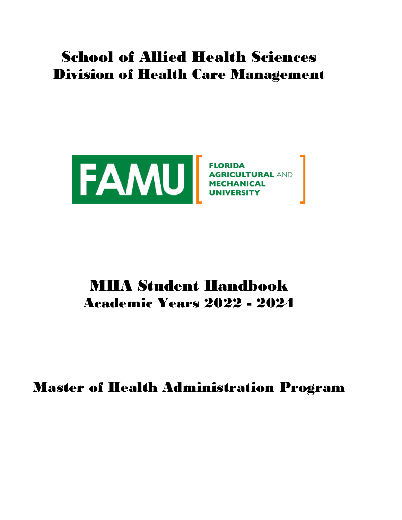# School of Allied Health Sciences Division of Health Care Management



# MHA Student Handbook Academic Years 2022 - 2024

Master of Health Administration Program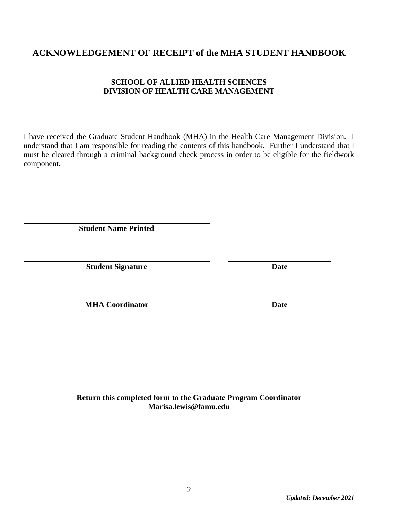### **ACKNOWLEDGEMENT OF RECEIPT of the MHA STUDENT HANDBOOK**

#### **SCHOOL OF ALLIED HEALTH SCIENCES DIVISION OF HEALTH CARE MANAGEMENT**

I have received the Graduate Student Handbook (MHA) in the Health Care Management Division. I understand that I am responsible for reading the contents of this handbook. Further I understand that I must be cleared through a criminal background check process in order to be eligible for the fieldwork component.

**Student Name Printed**

**Student Signature Date**

**MHA Coordinator Date**

**Return this completed form to the Graduate Program Coordinator Marisa.lewis@famu.edu**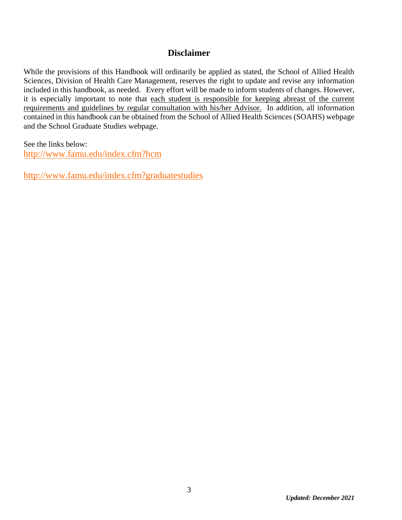#### **Disclaimer**

While the provisions of this Handbook will ordinarily be applied as stated, the School of Allied Health Sciences, Division of Health Care Management, reserves the right to update and revise any information included in this handbook, as needed. Every effort will be made to inform students of changes. However, it is especially important to note that each student is responsible for keeping abreast of the current requirements and guidelines by regular consultation with his/her Advisor. In addition, all information contained in this handbook can be obtained from the School of Allied Health Sciences (SOAHS) webpage and the School Graduate Studies webpage.

See the links below:

<http://www.famu.edu/index.cfm?hcm>

<http://www.famu.edu/index.cfm?graduatestudies>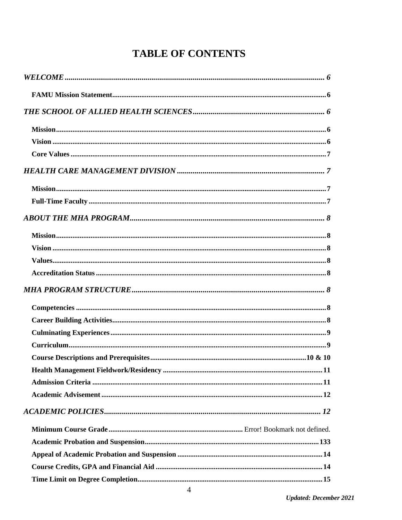## **TABLE OF CONTENTS**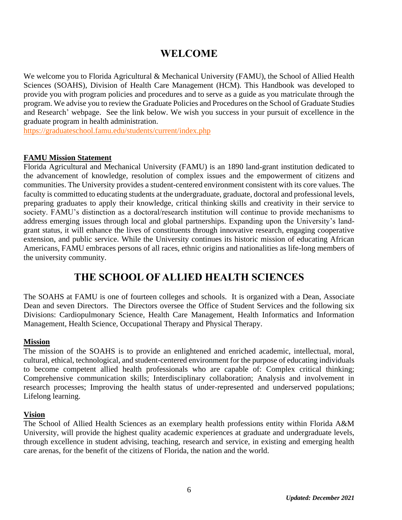### **WELCOME**

<span id="page-5-0"></span>We welcome you to Florida Agricultural & Mechanical University (FAMU), the School of Allied Health Sciences (SOAHS), Division of Health Care Management (HCM). This Handbook was developed to provide you with program policies and procedures and to serve as a guide as you matriculate through the program. We advise you to review the Graduate Policies and Procedures on the School of Graduate Studies and Research' webpage. See the link below. We wish you success in your pursuit of excellence in the graduate program in health administration.

<https://graduateschool.famu.edu/students/current/index.php>

#### <span id="page-5-1"></span>**FAMU Mission Statement**

Florida Agricultural and Mechanical University (FAMU) is an 1890 land-grant institution dedicated to the advancement of knowledge, resolution of complex issues and the empowerment of citizens and communities. The University provides a student-centered environment consistent with its core values. The faculty is committed to educating students at the undergraduate, graduate, doctoral and professional levels, preparing graduates to apply their knowledge, critical thinking skills and creativity in their service to society. FAMU's distinction as a doctoral/research institution will continue to provide mechanisms to address emerging issues through local and global partnerships. Expanding upon the University's landgrant status, it will enhance the lives of constituents through innovative research, engaging cooperative extension, and public service. While the University continues its historic mission of educating African Americans, FAMU embraces persons of all races, ethnic origins and nationalities as life-long members of the university community.

### **THE SCHOOL OF ALLIED HEALTH SCIENCES**

<span id="page-5-2"></span>The SOAHS at FAMU is one of fourteen colleges and schools. It is organized with a Dean, Associate Dean and seven Directors. The Directors oversee the Office of Student Services and the following six Divisions: Cardiopulmonary Science, Health Care Management, Health Informatics and Information Management, Health Science, Occupational Therapy and Physical Therapy.

#### <span id="page-5-3"></span>**Mission**

The mission of the SOAHS is to provide an enlightened and enriched academic, intellectual, moral, cultural, ethical, technological, and student-centered environment for the purpose of educating individuals to become competent allied health professionals who are capable of: Complex critical thinking; Comprehensive communication skills; Interdisciplinary collaboration; Analysis and involvement in research processes; Improving the health status of under-represented and underserved populations; Lifelong learning.

#### <span id="page-5-4"></span>**Vision**

The School of Allied Health Sciences as an exemplary health professions entity within Florida A&M University, will provide the highest quality academic experiences at graduate and undergraduate levels, through excellence in student advising, teaching, research and service, in existing and emerging health care arenas, for the benefit of the citizens of Florida, the nation and the world.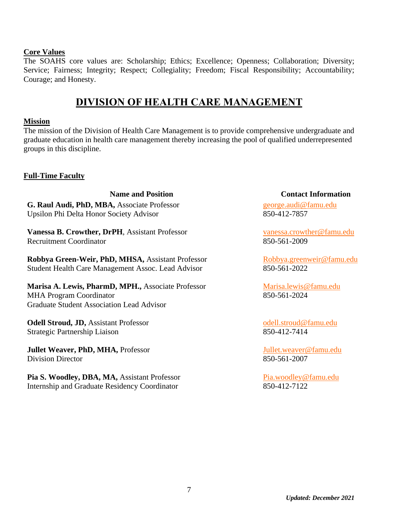#### <span id="page-6-0"></span>**Core Values**

<span id="page-6-1"></span>The SOAHS core values are: Scholarship; Ethics; Excellence; Openness; Collaboration; Diversity; Service; Fairness; Integrity; Respect; Collegiality; Freedom; Fiscal Responsibility; Accountability; Courage; and Honesty.

### **DIVISION OF HEALTH CARE MANAGEMENT**

#### <span id="page-6-2"></span>**Mission**

The mission of the Division of Health Care Management is to provide comprehensive undergraduate and graduate education in health care management thereby increasing the pool of qualified underrepresented groups in this discipline.

#### <span id="page-6-3"></span>**Full-Time Faculty**

**G. Raul Audi, PhD, MBA,** Associate Professor Upsilon Phi Delta Honor Society Advisor

**Vanessa B. Crowther, DrPH**, Assistant Professor Recruitment Coordinator

**Robbya Green-Weir, PhD, MHSA,** Assistant Professor Student Health Care Management Assoc. Lead Advisor

**Marisa A. Lewis, PharmD, MPH.,** Associate Professor MHA Program Coordinator Graduate Student Association Lead Advisor

**Odell Stroud, JD,** Assistant Professor Strategic Partnership Liaison

**Jullet Weaver, PhD, MHA,** Professor Division Director

**Pia S. Woodley, DBA, MA,** Assistant Professor Internship and Graduate Residency Coordinator

#### **Name and Position Contact Information**

[george.audi@famu.edu](mailto:george.audi@famu.edu) 850-412-7857

[vanessa.crowther@famu.edu](mailto:vanessa.crowther@famu.edu) 850-561-2009

[Robbya.greenweir@famu.edu](mailto:Robbya.greenweir@famu.edu) 850-561-2022

[Marisa.lewis@famu.edu](mailto:Marisa.lewis@famu.edu) 850-561-2024

[odell.stroud@famu.edu](mailto:odell.stroud@famu.edu) 850-412-7414

[Jullet.weaver@famu.edu](mailto:Jullet.weaver@famu.edu) 850-561-2007

[Pia.woodley@famu.edu](mailto:Pia.woodley@famu.edu) 850-412-7122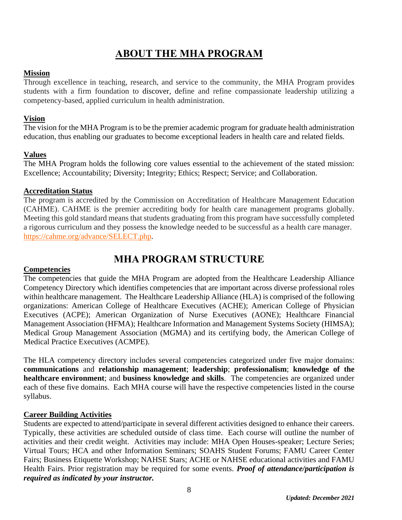### **ABOUT THE MHA PROGRAM**

#### <span id="page-7-1"></span><span id="page-7-0"></span>**Mission**

Through excellence in teaching, research, and service to the community, the MHA Program provides students with a firm foundation to discover, define and refine compassionate leadership utilizing a competency-based, applied curriculum in health administration.

#### <span id="page-7-2"></span>**Vision**

The vision for the MHA Program is to be the premier academic program for graduate health administration education, thus enabling our graduates to become exceptional leaders in health care and related fields.

#### <span id="page-7-3"></span>**Values**

The MHA Program holds the following core values essential to the achievement of the stated mission: Excellence; Accountability; Diversity; Integrity; Ethics; Respect; Service; and Collaboration.

#### <span id="page-7-4"></span>**Accreditation Status**

The program is accredited by the Commission on Accreditation of Healthcare Management Education (CAHME). CAHME is the premier accrediting body for health care management programs globally. Meeting this gold standard means that students graduating from this program have successfully completed a rigorous curriculum and they possess the knowledge needed to be successful as a health care manager. [https://cahme.org/advance/SELECT.php.](https://cahme.org/advance/SELECT.php)

### **MHA PROGRAM STRUCTURE**

#### <span id="page-7-6"></span><span id="page-7-5"></span>**Competencies**

The competencies that guide the MHA Program are adopted from the Healthcare Leadership Alliance Competency Directory which identifies competencies that are important across diverse professional roles within healthcare management. The Healthcare Leadership Alliance (HLA) is comprised of the following organizations: American College of Healthcare Executives (ACHE); American College of Physician Executives (ACPE); American Organization of Nurse Executives (AONE); Healthcare Financial Management Association (HFMA); Healthcare Information and Management Systems Society (HIMSA); Medical Group Management Association (MGMA) and its certifying body, the American College of Medical Practice Executives (ACMPE).

The HLA competency directory includes several competencies categorized under five major domains: **communications** and **relationship management**; **leadership**; **professionalism**; **knowledge of the healthcare environment**; and **business knowledge and skills**. The competencies are organized under each of these five domains. Each MHA course will have the respective competencies listed in the course syllabus.

#### <span id="page-7-7"></span>**Career Building Activities**

Students are expected to attend/participate in several different activities designed to enhance their careers. Typically, these activities are scheduled outside of class time. Each course will outline the number of activities and their credit weight. Activities may include: MHA Open Houses-speaker; Lecture Series; Virtual Tours; HCA and other Information Seminars; SOAHS Student Forums; FAMU Career Center Fairs; Business Etiquette Workshop; NAHSE Stars; ACHE or NAHSE educational activities and FAMU Health Fairs. Prior registration may be required for some events. *Proof of attendance/participation is required as indicated by your instructor.*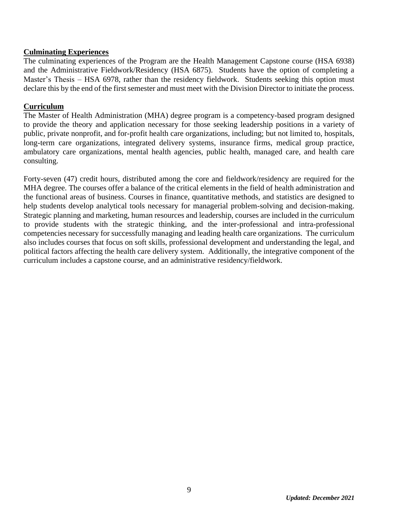#### <span id="page-8-0"></span>**Culminating Experiences**

The culminating experiences of the Program are the Health Management Capstone course (HSA 6938) and the Administrative Fieldwork/Residency (HSA 6875). Students have the option of completing a Master's Thesis – HSA 6978, rather than the residency fieldwork. Students seeking this option must declare this by the end of the first semester and must meet with the Division Director to initiate the process.

#### <span id="page-8-1"></span>**Curriculum**

The Master of Health Administration (MHA) degree program is a competency-based program designed to provide the theory and application necessary for those seeking leadership positions in a variety of public, private nonprofit, and for-profit health care organizations, including; but not limited to, hospitals, long-term care organizations, integrated delivery systems, insurance firms, medical group practice, ambulatory care organizations, mental health agencies, public health, managed care, and health care consulting.

Forty-seven (47) credit hours, distributed among the core and fieldwork/residency are required for the MHA degree. The courses offer a balance of the critical elements in the field of health administration and the functional areas of business. Courses in finance, quantitative methods, and statistics are designed to help students develop analytical tools necessary for managerial problem-solving and decision-making. Strategic planning and marketing, human resources and leadership, courses are included in the curriculum to provide students with the strategic thinking, and the inter-professional and intra-professional competencies necessary for successfully managing and leading health care organizations. The curriculum also includes courses that focus on soft skills, professional development and understanding the legal, and political factors affecting the health care delivery system. Additionally, the integrative component of the curriculum includes a capstone course, and an administrative residency/fieldwork.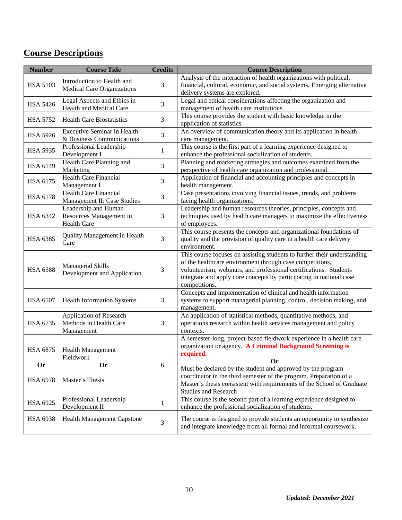### <span id="page-9-0"></span>**Course Descriptions**

| <b>Number</b>                | <b>Course Title</b>                                                   | <b>Credits</b> | <b>Course Description</b>                                                                                                                                                                                                                                                                         |
|------------------------------|-----------------------------------------------------------------------|----------------|---------------------------------------------------------------------------------------------------------------------------------------------------------------------------------------------------------------------------------------------------------------------------------------------------|
| <b>HSA 5103</b>              | Introduction to Health and<br>Medical Care Organizations              | 3              | Analysis of the interaction of health organizations with political,<br>financial, cultural, economic, and social systems. Emerging alternative<br>delivery systems are explored.                                                                                                                  |
| <b>HSA 5426</b>              | Legal Aspects and Ethics in<br>Health and Medical Care                | 3              | Legal and ethical considerations affecting the organization and<br>management of health care institutions.                                                                                                                                                                                        |
| <b>HSA 5752</b>              | <b>Health Care Biostatistics</b>                                      | 3              | This course provides the student with basic knowledge in the<br>application of statistics.                                                                                                                                                                                                        |
| <b>HSA 5926</b>              | <b>Executive Seminar in Health</b><br>& Business Communications       | 3              | An overview of communication theory and its application in health<br>care management.                                                                                                                                                                                                             |
| <b>HSA 5935</b>              | Professional Leadership<br>Development I                              | $\mathbf{1}$   | This course is the first part of a learning experience designed to<br>enhance the professional socialization of students.                                                                                                                                                                         |
| HSA 6149                     | Health Care Planning and<br>Marketing                                 | 3              | Planning and marketing strategies and outcomes examined from the<br>perspective of health care organization and professional.                                                                                                                                                                     |
| HSA 6175                     | <b>Health Care Financial</b><br>Management I                          | 3              | Application of financial and accounting principles and concepts in<br>health management.                                                                                                                                                                                                          |
| <b>HSA 6178</b>              | <b>Health Care Financial</b><br>Management II: Case Studies           | 3              | Case presentations involving financial issues, trends, and problems<br>facing health organizations.                                                                                                                                                                                               |
| <b>HSA 6342</b>              | Leadership and Human<br>Resources Management in<br><b>Health Care</b> | 3              | Leadership and human resources theories, principles, concepts and<br>techniques used by health care managers to maximize the effectiveness<br>of employees.                                                                                                                                       |
| <b>HSA 6385</b>              | Quality Management in Health<br>Care                                  | 3              | This course presents the concepts and organizational foundations of<br>quality and the provision of quality care in a health care delivery<br>environment.                                                                                                                                        |
| <b>HSA 6388</b>              | Managerial Skills<br>Development and Application                      | 3              | This course focuses on assisting students to further their understanding<br>of the healthcare environment through case competitions,<br>volunteerism, webinars, and professional certifications. Students<br>integrate and apply core concepts by participating in national case<br>competitions. |
| <b>HSA 6507</b>              | <b>Health Information Systems</b>                                     | 3              | Concepts and implementation of clinical and health information<br>systems to support managerial planning, control, decision making, and<br>management.                                                                                                                                            |
| <b>HSA 6735</b>              | Application of Research<br>Methods in Health Care<br>Management       | 3              | An application of statistical methods, quantitative methods, and<br>operations research within health services management and policy<br>contexts.                                                                                                                                                 |
| <b>HSA 6875</b>              | <b>Health Management</b><br>Fieldwork                                 |                | A semester-long, project-based fieldwork experience in a health care<br>organization or agency. A Criminal Background Screening is<br>required.<br><b>Or</b>                                                                                                                                      |
| <b>Or</b><br><b>HSA 6978</b> | <b>Or</b><br>Master's Thesis                                          | 6              | Must be declared by the student and approved by the program<br>coordinator in the third semester of the program. Preparation of a<br>Master's thesis consistent with requirements of the School of Graduate<br><b>Studies and Research</b>                                                        |
| HSA 6925                     | Professional Leadership<br>Development II                             | 1              | This course is the second part of a learning experience designed to<br>enhance the professional socialization of students.                                                                                                                                                                        |
| <b>HSA 6938</b>              | <b>Health Management Capstone</b>                                     | 3              | The course is designed to provide students an opportunity to synthesize<br>and integrate knowledge from all formal and informal coursework.                                                                                                                                                       |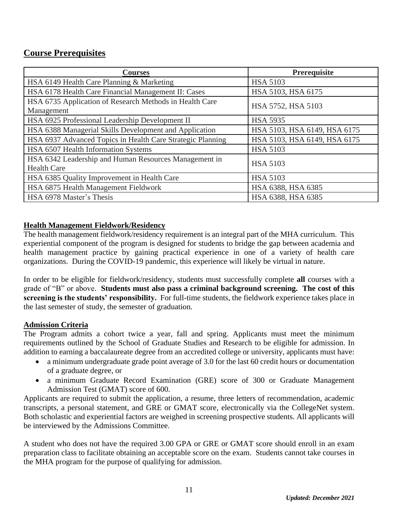### <span id="page-10-0"></span>**Course Prerequisites**

| <b>Courses</b>                                             | <b>Prerequisite</b>          |  |
|------------------------------------------------------------|------------------------------|--|
| HSA 6149 Health Care Planning & Marketing                  | <b>HSA 5103</b>              |  |
| HSA 6178 Health Care Financial Management II: Cases        | HSA 5103, HSA 6175           |  |
| HSA 6735 Application of Research Methods in Health Care    | HSA 5752, HSA 5103           |  |
| Management                                                 |                              |  |
| HSA 6925 Professional Leadership Development II            | <b>HSA 5935</b>              |  |
| HSA 6388 Managerial Skills Development and Application     | HSA 5103, HSA 6149, HSA 6175 |  |
| HSA 6937 Advanced Topics in Health Care Strategic Planning | HSA 5103, HSA 6149, HSA 6175 |  |
| HSA 6507 Health Information Systems                        | <b>HSA 5103</b>              |  |
| HSA 6342 Leadership and Human Resources Management in      | <b>HSA 5103</b>              |  |
| <b>Health Care</b>                                         |                              |  |
| HSA 6385 Quality Improvement in Health Care                | <b>HSA 5103</b>              |  |
| HSA 6875 Health Management Fieldwork                       | HSA 6388, HSA 6385           |  |
| HSA 6978 Master's Thesis                                   | HSA 6388, HSA 6385           |  |

#### **Health Management Fieldwork/Residency**

The health management fieldwork/residency requirement is an integral part of the MHA curriculum. This experiential component of the program is designed for students to bridge the gap between academia and health management practice by gaining practical experience in one of a variety of health care organizations. During the COVID-19 pandemic, this experience will likely be virtual in nature.

In order to be eligible for fieldwork/residency, students must successfully complete **all** courses with a grade of "B" or above. **Students must also pass a criminal background screening. The cost of this screening is the students' responsibility.** For full-time students, the fieldwork experience takes place in the last semester of study, the semester of graduation.

#### <span id="page-10-1"></span>**Admission Criteria**

The Program admits a cohort twice a year, fall and spring. Applicants must meet the minimum requirements outlined by the School of Graduate Studies and Research to be eligible for admission. In addition to earning a baccalaureate degree from an accredited college or university, applicants must have:

- a minimum undergraduate grade point average of 3.0 for the last 60 credit hours or documentation of a graduate degree, or
- a minimum Graduate Record Examination (GRE) score of 300 or Graduate Management Admission Test (GMAT) score of 600.

Applicants are required to submit the application, a resume, three letters of recommendation, academic transcripts, a personal statement, and GRE or GMAT score, electronically via the CollegeNet system. Both scholastic and experiential factors are weighed in screening prospective students. All applicants will be interviewed by the Admissions Committee.

A student who does not have the required 3.00 GPA or GRE or GMAT score should enroll in an exam preparation class to facilitate obtaining an acceptable score on the exam. Students cannot take courses in the MHA program for the purpose of qualifying for admission.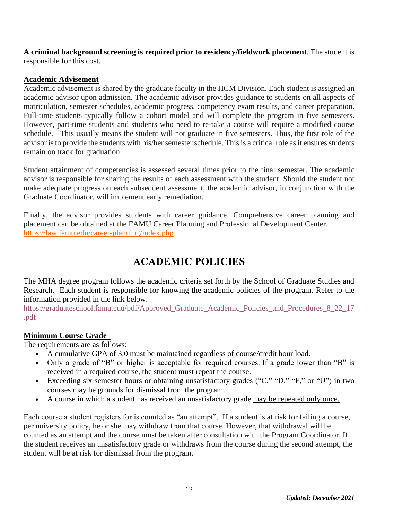**A criminal background screening is required prior to residency/fieldwork placement**. The student is responsible for this cost.

#### <span id="page-11-0"></span>**Academic Advisement**

Academic advisement is shared by the graduate faculty in the HCM Division. Each student is assigned an academic advisor upon admission. The academic advisor provides guidance to students on all aspects of matriculation, semester schedules, academic progress, competency exam results, and career preparation. Full-time students typically follow a cohort model and will complete the program in five semesters. However, part-time students and students who need to re-take a course will require a modified course schedule. This usually means the student will not graduate in five semesters. Thus, the first role of the advisor is to provide the students with his/her semester schedule. This is a critical role as it ensures students remain on track for graduation.

Student attainment of competencies is assessed several times prior to the final semester. The academic advisor is responsible for sharing the results of each assessment with the student. Should the student not make adequate progress on each subsequent assessment, the academic advisor, in conjunction with the Graduate Coordinator, will implement early remediation.

Finally, the advisor provides students with career guidance. Comprehensive career planning and placement can be obtained at the FAMU Career Planning and Professional Development Center. <https://law.famu.edu/career-planning/index.php>

### **ACADEMIC POLICIES**

<span id="page-11-1"></span>The MHA degree program follows the academic criteria set forth by the School of Graduate Studies and Research. Each student is responsible for knowing the academic policies of the program. Refer to the information provided in the link below.

https://graduateschool.famu.edu/pdf/Approved Graduate Academic Policies and Procedures 8 22 17 [.pdf](https://graduateschool.famu.edu/pdf/Approved_Graduate_Academic_Policies_and_Procedures_8_22_17.pdf)

#### **Minimum Course Grade**

The requirements are as follows:

- A cumulative GPA of 3.0 must be maintained regardless of course/credit hour load.
- Only a grade of "B" or higher is acceptable for required courses. If a grade lower than "B" is received in a required course, the student must repeat the course.
- Exceeding six semester hours or obtaining unsatisfactory grades ("C," "D," "F," or "U") in two courses may be grounds for dismissal from the program.
- A course in which a student has received an unsatisfactory grade may be repeated only once.

Each course a student registers for is counted as "an attempt". If a student is at risk for failing a course, per university policy, he or she may withdraw from that course. However, that withdrawal will be counted as an attempt and the course must be taken after consultation with the Program Coordinator. If the student receives an unsatisfactory grade or withdraws from the course during the second attempt, the student will be at risk for dismissal from the program.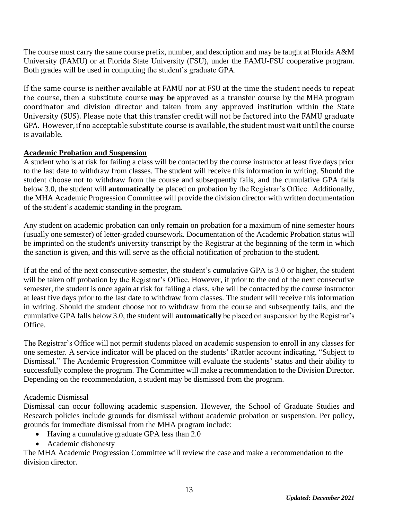The course must carry the same course prefix, number, and description and may be taught at Florida A&M University (FAMU) or at Florida State University (FSU), under the FAMU-FSU cooperative program. Both grades will be used in computing the student's graduate GPA.

If the same course is neither available at FAMU nor at FSU at the time the student needs to repeat the course, then a substitute course **may be** approved as a transfer course by the MHA program coordinator and division director and taken from any approved institution within the State University (SUS). Please note that this transfer credit will not be factored into the FAMU graduate GPA. However, if no acceptable substitute course is available, the student must wait until the course is available.

#### <span id="page-12-0"></span>**Academic Probation and Suspension**

A student who is at risk for failing a class will be contacted by the course instructor at least five days prior to the last date to withdraw from classes. The student will receive this information in writing. Should the student choose not to withdraw from the course and subsequently fails, and the cumulative GPA falls below 3.0, the student will **automatically** be placed on probation by the Registrar's Office. Additionally, the MHA Academic Progression Committee will provide the division director with written documentation of the student's academic standing in the program.

Any student on academic probation can only remain on probation for a maximum of nine semester hours (usually one semester) of letter-graded coursework. Documentation of the Academic Probation status will be imprinted on the student's university transcript by the Registrar at the beginning of the term in which the sanction is given, and this will serve as the official notification of probation to the student.

If at the end of the next consecutive semester, the student's cumulative GPA is 3.0 or higher, the student will be taken off probation by the Registrar's Office. However, if prior to the end of the next consecutive semester, the student is once again at risk for failing a class, s/he will be contacted by the course instructor at least five days prior to the last date to withdraw from classes. The student will receive this information in writing. Should the student choose not to withdraw from the course and subsequently fails, and the cumulative GPA falls below 3.0, the student will **automatically** be placed on suspension by the Registrar's Office.

The Registrar's Office will not permit students placed on academic suspension to enroll in any classes for one semester. A service indicator will be placed on the students' iRattler account indicating, "Subject to Dismissal." The Academic Progression Committee will evaluate the students' status and their ability to successfully complete the program. The Committee will make a recommendation to the Division Director. Depending on the recommendation, a student may be dismissed from the program.

#### Academic Dismissal

Dismissal can occur following academic suspension. However, the School of Graduate Studies and Research policies include grounds for dismissal without academic probation or suspension. Per policy, grounds for immediate dismissal from the MHA program include:

- Having a cumulative graduate GPA less than 2.0
- Academic dishonesty

The MHA Academic Progression Committee will review the case and make a recommendation to the division director.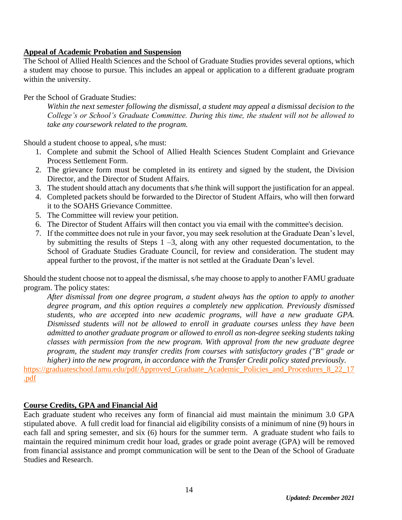#### <span id="page-13-0"></span>**Appeal of Academic Probation and Suspension**

The School of Allied Health Sciences and the School of Graduate Studies provides several options, which a student may choose to pursue. This includes an appeal or application to a different graduate program within the university.

#### Per the School of Graduate Studies:

*Within the next semester following the dismissal, a student may appeal a dismissal decision to the College's or School's Graduate Committee. During this time, the student will not be allowed to take any coursework related to the program.*

Should a student choose to appeal, s/he must:

- 1. Complete and submit the School of Allied Health Sciences Student Complaint and Grievance Process Settlement Form.
- 2. The grievance form must be completed in its entirety and signed by the student, the Division Director, and the Director of Student Affairs.
- 3. The student should attach any documents that s/he think will support the justification for an appeal.
- 4. Completed packets should be forwarded to the Director of Student Affairs, who will then forward it to the SOAHS Grievance Committee.
- 5. The Committee will review your petition.
- 6. The Director of Student Affairs will then contact you via email with the committee's decision.
- 7. If the committee does not rule in your favor, you may seek resolution at the Graduate Dean's level, by submitting the results of Steps 1 –3, along with any other requested documentation, to the School of Graduate Studies Graduate Council, for review and consideration. The student may appeal further to the provost, if the matter is not settled at the Graduate Dean's level.

Should the student choose not to appeal the dismissal, s/he may choose to apply to another FAMU graduate program. The policy states:

*After dismissal from one degree program, a student always has the option to apply to another degree program, and this option requires a completely new application. Previously dismissed students, who are accepted into new academic programs, will have a new graduate GPA. Dismissed students will not be allowed to enroll in graduate courses unless they have been admitted to another graduate program or allowed to enroll as non-degree seeking students taking classes with permission from the new program. With approval from the new graduate degree program, the student may transfer credits from courses with satisfactory grades ("B" grade or higher) into the new program, in accordance with the Transfer Credit policy stated previously.*

https://graduateschool.famu.edu/pdf/Approved Graduate Academic Policies and Procedures 8 22 17 [.pdf](https://graduateschool.famu.edu/pdf/Approved_Graduate_Academic_Policies_and_Procedures_8_22_17.pdf)

#### <span id="page-13-1"></span>**Course Credits, GPA and Financial Aid**

Each graduate student who receives any form of financial aid must maintain the minimum 3.0 GPA stipulated above. A full credit load for financial aid eligibility consists of a minimum of nine (9) hours in each fall and spring semester, and six (6) hours for the summer term. A graduate student who fails to maintain the required minimum credit hour load, grades or grade point average (GPA) will be removed from financial assistance and prompt communication will be sent to the Dean of the School of Graduate Studies and Research.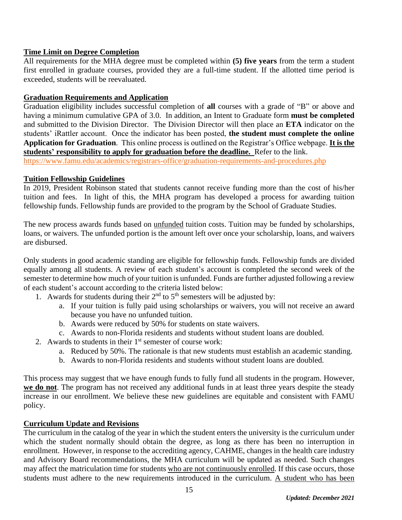#### <span id="page-14-0"></span>**Time Limit on Degree Completion**

All requirements for the MHA degree must be completed within **(5) five years** from the term a student first enrolled in graduate courses, provided they are a full-time student. If the allotted time period is exceeded, students will be reevaluated.

#### <span id="page-14-1"></span>**Graduation Requirements and Application**

Graduation eligibility includes successful completion of **all** courses with a grade of "B" or above and having a minimum cumulative GPA of 3.0. In addition, an Intent to Graduate form **must be completed** and submitted to the Division Director. The Division Director will then place an **ETA** indicator on the students' iRattler account. Once the indicator has been posted, **the student must complete the online Application for Graduation**. This online process is outlined on the Registrar's Office webpage. **It is the students' responsibility to apply for graduation before the deadline.** Refer to the link.

<https://www.famu.edu/academics/registrars-office/graduation-requirements-and-procedures.php>

#### <span id="page-14-2"></span>**Tuition Fellowship Guidelines**

In 2019, President Robinson stated that students cannot receive funding more than the cost of his/her tuition and fees. In light of this, the MHA program has developed a process for awarding tuition fellowship funds. Fellowship funds are provided to the program by the School of Graduate Studies.

The new process awards funds based on unfunded tuition costs. Tuition may be funded by scholarships, loans, or waivers. The unfunded portion is the amount left over once your scholarship, loans, and waivers are disbursed.

Only students in good academic standing are eligible for fellowship funds. Fellowship funds are divided equally among all students. A review of each student's account is completed the second week of the semester to determine how much of your tuition is unfunded. Funds are further adjusted following a review of each student's account according to the criteria listed below:

- 1. Awards for students during their  $2<sup>nd</sup>$  to  $5<sup>th</sup>$  semesters will be adjusted by:
	- a. If your tuition is fully paid using scholarships or waivers, you will not receive an award because you have no unfunded tuition.
	- b. Awards were reduced by 50% for students on state waivers.
	- c. Awards to non-Florida residents and students without student loans are doubled.
- 2. Awards to students in their  $1<sup>st</sup>$  semester of course work:
	- a. Reduced by 50%. The rationale is that new students must establish an academic standing.
	- b. Awards to non-Florida residents and students without student loans are doubled.

This process may suggest that we have enough funds to fully fund all students in the program. However, **we do not**. The program has not received any additional funds in at least three years despite the steady increase in our enrollment. We believe these new guidelines are equitable and consistent with FAMU policy.

#### <span id="page-14-3"></span>**Curriculum Update and Revisions**

The curriculum in the catalog of the year in which the student enters the university is the curriculum under which the student normally should obtain the degree, as long as there has been no interruption in enrollment. However, in response to the accrediting agency, CAHME, changes in the health care industry and Advisory Board recommendations, the MHA curriculum will be updated as needed. Such changes may affect the matriculation time for students who are not continuously enrolled. If this case occurs, those students must adhere to the new requirements introduced in the curriculum. A student who has been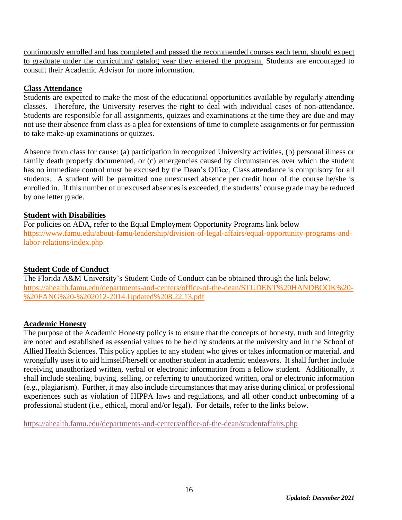continuously enrolled and has completed and passed the recommended courses each term, should expect to graduate under the curriculum/ catalog year they entered the program. Students are encouraged to consult their Academic Advisor for more information.

#### <span id="page-15-0"></span>**Class Attendance**

Students are expected to make the most of the educational opportunities available by regularly attending classes. Therefore, the University reserves the right to deal with individual cases of non-attendance. Students are responsible for all assignments, quizzes and examinations at the time they are due and may not use their absence from class as a plea for extensions of time to complete assignments or for permission to take make-up examinations or quizzes.

Absence from class for cause: (a) participation in recognized University activities, (b) personal illness or family death properly documented, or (c) emergencies caused by circumstances over which the student has no immediate control must be excused by the Dean's Office. Class attendance is compulsory for all students. A student will be permitted one unexcused absence per credit hour of the course he/she is enrolled in. If this number of unexcused absences is exceeded, the students' course grade may be reduced by one letter grade.

#### <span id="page-15-1"></span>**Student with Disabilities**

For policies on ADA, refer to the Equal Employment Opportunity Programs link below [https://www.famu.edu/about-famu/leadership/division-of-legal-affairs/equal-opportunity-programs-and](https://www.famu.edu/about-famu/leadership/division-of-legal-affairs/equal-opportunity-programs-and-labor-relations/index.php)[labor-relations/index.php](https://www.famu.edu/about-famu/leadership/division-of-legal-affairs/equal-opportunity-programs-and-labor-relations/index.php)

#### <span id="page-15-2"></span>**Student Code of Conduct**

The Florida A&M University's Student Code of Conduct can be obtained through the link below. [https://ahealth.famu.edu/departments-and-centers/office-of-the-dean/STUDENT%20HANDBOOK%20-](https://ahealth.famu.edu/departments-and-centers/office-of-the-dean/STUDENT%20HANDBOOK%20-%20FANG%20-%202012-2014.Updated%208.22.13.pdf) [%20FANG%20-%202012-2014.Updated%208.22.13.pdf](https://ahealth.famu.edu/departments-and-centers/office-of-the-dean/STUDENT%20HANDBOOK%20-%20FANG%20-%202012-2014.Updated%208.22.13.pdf)

#### <span id="page-15-3"></span>**Academic Honesty**

The purpose of the Academic Honesty policy is to ensure that the concepts of honesty, truth and integrity are noted and established as essential values to be held by students at the university and in the School of Allied Health Sciences. This policy applies to any student who gives or takes information or material, and wrongfully uses it to aid himself/herself or another student in academic endeavors. It shall further include receiving unauthorized written, verbal or electronic information from a fellow student. Additionally, it shall include stealing, buying, selling, or referring to unauthorized written, oral or electronic information (e.g., plagiarism). Further, it may also include circumstances that may arise during clinical or professional experiences such as violation of HIPPA laws and regulations, and all other conduct unbecoming of a professional student (i.e., ethical, moral and/or legal). For details, refer to the links below.

<https://ahealth.famu.edu/departments-and-centers/office-of-the-dean/studentaffairs.php>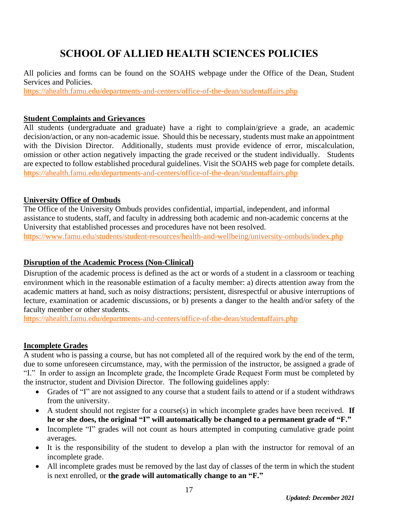### **SCHOOL OF ALLIED HEALTH SCIENCES POLICIES**

<span id="page-16-0"></span>All policies and forms can be found on the SOAHS webpage under the Office of the Dean, Student Services and Policies.

<https://ahealth.famu.edu/departments-and-centers/office-of-the-dean/studentaffairs.php>

#### <span id="page-16-1"></span>**Student Complaints and Grievances**

All students (undergraduate and graduate) have a right to complain/grieve a grade, an academic decision/action, or any non-academic issue. Should this be necessary, students must make an appointment with the Division Director. Additionally, students must provide evidence of error, miscalculation, omission or other action negatively impacting the grade received or the student individually. Students are expected to follow established procedural guidelines. Visit the SOAHS web page for complete details. <https://ahealth.famu.edu/departments-and-centers/office-of-the-dean/studentaffairs.php>

#### <span id="page-16-2"></span>**University Office of Ombuds**

The Office of the University Ombuds provides confidential, impartial, independent, and informal assistance to students, staff, and faculty in addressing both academic and non-academic concerns at the University that established processes and procedures have not been resolved.

<https://www.famu.edu/students/student-resources/health-and-wellbeing/university-ombuds/index.php>

#### <span id="page-16-3"></span>**Disruption of the Academic Process (Non-Clinical)**

Disruption of the academic process is defined as the act or words of a student in a classroom or teaching environment which in the reasonable estimation of a faculty member: a) directs attention away from the academic matters at hand, such as noisy distractions; persistent, disrespectful or abusive interruptions of lecture, examination or academic discussions, or b) presents a danger to the health and/or safety of the faculty member or other students.

<https://ahealth.famu.edu/departments-and-centers/office-of-the-dean/studentaffairs.php>

#### <span id="page-16-4"></span>**Incomplete Grades**

A student who is passing a course, but has not completed all of the required work by the end of the term, due to some unforeseen circumstance, may, with the permission of the instructor, be assigned a grade of "I." In order to assign an Incomplete grade, the Incomplete Grade Request Form must be completed by the instructor, student and Division Director. The following guidelines apply:

- Grades of "I" are not assigned to any course that a student fails to attend or if a student withdraws from the university.
- A student should not register for a course(s) in which incomplete grades have been received. **If he or she does, the original "I" will automatically be changed to a permanent grade of "F."**
- Incomplete "I" grades will not count as hours attempted in computing cumulative grade point averages.
- It is the responsibility of the student to develop a plan with the instructor for removal of an incomplete grade.
- All incomplete grades must be removed by the last day of classes of the term in which the student is next enrolled, or **the grade will automatically change to an "F."**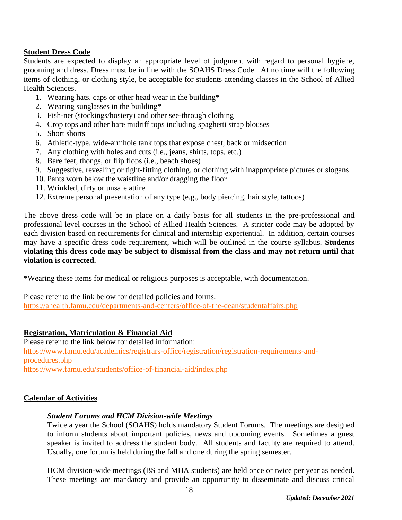#### <span id="page-17-0"></span>**Student Dress Code**

Students are expected to display an appropriate level of judgment with regard to personal hygiene, grooming and dress. Dress must be in line with the SOAHS Dress Code. At no time will the following items of clothing, or clothing style, be acceptable for students attending classes in the School of Allied Health Sciences.

- 1. Wearing hats, caps or other head wear in the building\*
- 2. Wearing sunglasses in the building\*
- 3. Fish-net (stockings/hosiery) and other see-through clothing
- 4. Crop tops and other bare midriff tops including spaghetti strap blouses
- 5. Short shorts
- 6. Athletic-type, wide-armhole tank tops that expose chest, back or midsection
- 7. Any clothing with holes and cuts (i.e., jeans, shirts, tops, etc.)
- 8. Bare feet, thongs, or flip flops (i.e., beach shoes)
- 9. Suggestive, revealing or tight-fitting clothing, or clothing with inappropriate pictures or slogans
- 10. Pants worn below the waistline and/or dragging the floor
- 11. Wrinkled, dirty or unsafe attire
- 12. Extreme personal presentation of any type (e.g., body piercing, hair style, tattoos)

The above dress code will be in place on a daily basis for all students in the pre-professional and professional level courses in the School of Allied Health Sciences. A stricter code may be adopted by each division based on requirements for clinical and internship experiential. In addition, certain courses may have a specific dress code requirement, which will be outlined in the course syllabus. **Students violating this dress code may be subject to dismissal from the class and may not return until that violation is corrected.**

\*Wearing these items for medical or religious purposes is acceptable, with documentation.

Please refer to the link below for detailed policies and forms. <https://ahealth.famu.edu/departments-and-centers/office-of-the-dean/studentaffairs.php>

#### <span id="page-17-1"></span>**Registration, Matriculation & Financial Aid**

Please refer to the link below for detailed information: [https://www.famu.edu/academics/registrars-office/registration/registration-requirements-and](https://www.famu.edu/academics/registrars-office/registration/registration-requirements-and-procedures.php)[procedures.php](https://www.famu.edu/academics/registrars-office/registration/registration-requirements-and-procedures.php) <https://www.famu.edu/students/office-of-financial-aid/index.php>

#### <span id="page-17-2"></span>**Calendar of Activities**

#### *Student Forums and HCM Division-wide Meetings*

Twice a year the School (SOAHS) holds mandatory Student Forums. The meetings are designed to inform students about important policies, news and upcoming events. Sometimes a guest speaker is invited to address the student body. All students and faculty are required to attend. Usually, one forum is held during the fall and one during the spring semester.

HCM division-wide meetings (BS and MHA students) are held once or twice per year as needed. These meetings are mandatory and provide an opportunity to disseminate and discuss critical

18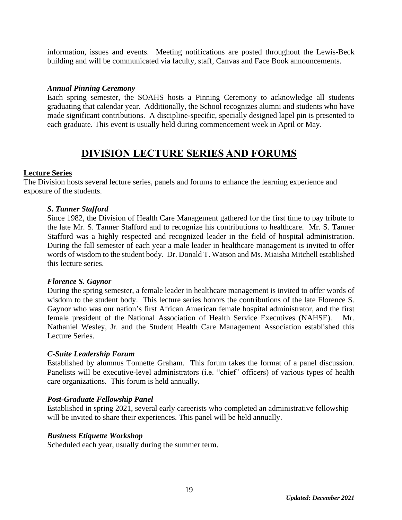information, issues and events. Meeting notifications are posted throughout the Lewis-Beck building and will be communicated via faculty, staff, Canvas and Face Book announcements.

#### *Annual Pinning Ceremony*

Each spring semester, the SOAHS hosts a Pinning Ceremony to acknowledge all students graduating that calendar year. Additionally, the School recognizes alumni and students who have made significant contributions. A discipline-specific, specially designed lapel pin is presented to each graduate. This event is usually held during commencement week in April or May.

### **DIVISION LECTURE SERIES AND FORUMS**

#### <span id="page-18-0"></span>**Lecture Series**

The Division hosts several lecture series, panels and forums to enhance the learning experience and exposure of the students.

#### *S. Tanner Stafford*

Since 1982, the Division of Health Care Management gathered for the first time to pay tribute to the late Mr. S. Tanner Stafford and to recognize his contributions to healthcare. Mr. S. Tanner Stafford was a highly respected and recognized leader in the field of hospital administration. During the fall semester of each year a male leader in healthcare management is invited to offer words of wisdom to the student body. Dr. Donald T. Watson and Ms. Miaisha Mitchell established this lecture series.

#### *Florence S. Gaynor*

During the spring semester, a female leader in healthcare management is invited to offer words of wisdom to the student body. This lecture series honors the contributions of the late Florence S. Gaynor who was our nation's first African American female hospital administrator, and the first female president of the National Association of Health Service Executives (NAHSE). Mr. Nathaniel Wesley, Jr. and the Student Health Care Management Association established this Lecture Series.

#### *C-Suite Leadership Forum*

Established by alumnus Tonnette Graham. This forum takes the format of a panel discussion. Panelists will be executive-level administrators (i.e. "chief" officers) of various types of health care organizations. This forum is held annually.

#### *Post-Graduate Fellowship Panel*

Established in spring 2021, several early careerists who completed an administrative fellowship will be invited to share their experiences. This panel will be held annually.

#### *Business Etiquette Workshop*

Scheduled each year, usually during the summer term.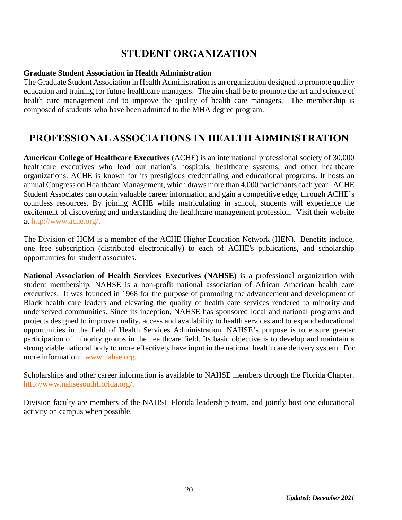### **STUDENT ORGANIZATION**

#### <span id="page-19-0"></span>**Graduate Student Association in Health Administration**

The Graduate Student Association in Health Administration is an organization designed to promote quality education and training for future healthcare managers. The aim shall be to promote the art and science of health care management and to improve the quality of health care managers. The membership is composed of students who have been admitted to the MHA degree program.

### <span id="page-19-1"></span>**PROFESSIONAL ASSOCIATIONS IN HEALTH ADMINISTRATION**

**American College of Healthcare Executives** (ACHE) is an international professional society of 30,000 healthcare executives who lead our nation's hospitals, healthcare systems, and other healthcare organizations. ACHE is known for its prestigious credentialing and educational programs. It hosts an annual Congress on Healthcare Management, which draws more than 4,000 participants each year. ACHE Student Associates can obtain valuable career information and gain a competitive edge, through ACHE's countless resources. By joining ACHE while matriculating in school, students will experience the excitement of discovering and understanding the healthcare management profession. Visit their website at http://www.ache.org/.

The Division of HCM is a member of the ACHE Higher Education Network (HEN). Benefits include, one free subscription (distributed electronically) to each of ACHE's publications, and scholarship opportunities for student associates.

**National Association of Health Services Executives (NAHSE)** is a professional organization with student membership. NAHSE is a non-profit national association of African American health care executives. It was founded in 1968 for the purpose of promoting the advancement and development of Black health care leaders and elevating the quality of health care services rendered to minority and underserved communities. Since its inception, NAHSE has sponsored local and national programs and projects designed to improve quality, access and availability to health services and to expand educational opportunities in the field of Health Services Administration. NAHSE's purpose is to ensure greater participation of minority groups in the healthcare field. Its basic objective is to develop and maintain a strong viable national body to more effectively have input in the national health care delivery system. For more information: [www.nahse.org.](http://www.nahse.org/)

Scholarships and other career information is available to NAHSE members through the Florida Chapter. [http://www.nahsesouthflorida.org/.](http://www.nahsesouthflorida.org/)

Division faculty are members of the NAHSE Florida leadership team, and jointly host one educational activity on campus when possible.